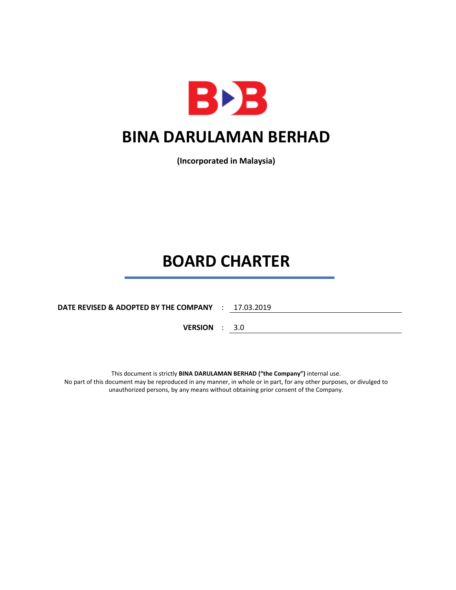

**(Incorporated in Malaysia)**

# **BOARD CHARTER**

**DATE REVISED & ADOPTED BY THE COMPANY** : 17.03.2019

**VERSION** : 3.0

This document is strictly **BINA DARULAMAN BERHAD ("the Company")** internal use. No part of this document may be reproduced in any manner, in whole or in part, for any other purposes, or divulged to unauthorized persons, by any means without obtaining prior consent of the Company.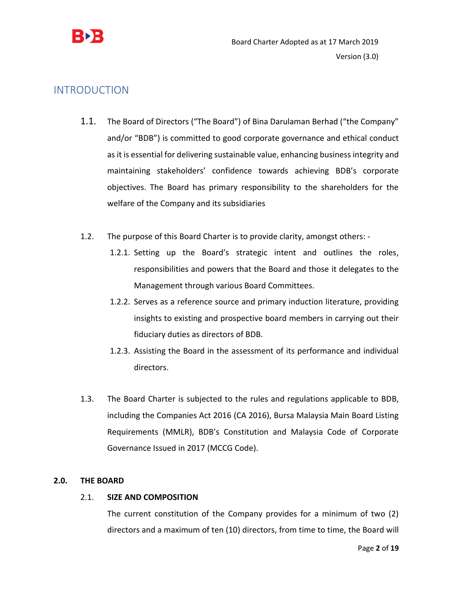

# INTRODUCTION

- 1.1. The Board of Directors ("The Board") of Bina Darulaman Berhad ("the Company" and/or "BDB") is committed to good corporate governance and ethical conduct as it is essential for delivering sustainable value, enhancing business integrity and maintaining stakeholders' confidence towards achieving BDB's corporate objectives. The Board has primary responsibility to the shareholders for the welfare of the Company and its subsidiaries
- 1.2. The purpose of this Board Charter is to provide clarity, amongst others:
	- 1.2.1. Setting up the Board's strategic intent and outlines the roles, responsibilities and powers that the Board and those it delegates to the Management through various Board Committees.
	- 1.2.2. Serves as a reference source and primary induction literature, providing insights to existing and prospective board members in carrying out their fiduciary duties as directors of BDB.
	- 1.2.3. Assisting the Board in the assessment of its performance and individual directors.
- 1.3. The Board Charter is subjected to the rules and regulations applicable to BDB, including the Companies Act 2016 (CA 2016), Bursa Malaysia Main Board Listing Requirements (MMLR), BDB's Constitution and Malaysia Code of Corporate Governance Issued in 2017 (MCCG Code).

# **2.0. THE BOARD**

# 2.1. **SIZE AND COMPOSITION**

The current constitution of the Company provides for a minimum of two (2) directors and a maximum of ten (10) directors, from time to time, the Board will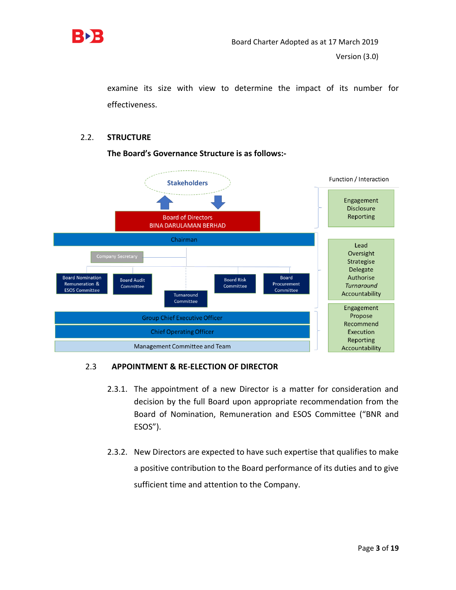

examine its size with view to determine the impact of its number for effectiveness.

# 2.2. **STRUCTURE**



**The Board's Governance Structure is as follows:-**

# 2.3 **APPOINTMENT & RE-ELECTION OF DIRECTOR**

- 2.3.1. The appointment of a new Director is a matter for consideration and decision by the full Board upon appropriate recommendation from the Board of Nomination, Remuneration and ESOS Committee ("BNR and ESOS").
- 2.3.2. New Directors are expected to have such expertise that qualifies to make a positive contribution to the Board performance of its duties and to give sufficient time and attention to the Company.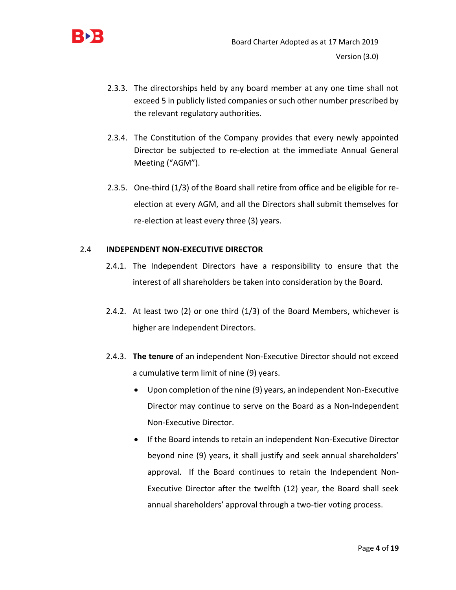

- 2.3.3. The directorships held by any board member at any one time shall not exceed 5 in publicly listed companies or such other number prescribed by the relevant regulatory authorities.
- 2.3.4. The Constitution of the Company provides that every newly appointed Director be subjected to re-election at the immediate Annual General Meeting ("AGM").
- 2.3.5. One-third (1/3) of the Board shall retire from office and be eligible for reelection at every AGM, and all the Directors shall submit themselves for re-election at least every three (3) years.

# 2.4 **INDEPENDENT NON-EXECUTIVE DIRECTOR**

- 2.4.1. The Independent Directors have a responsibility to ensure that the interest of all shareholders be taken into consideration by the Board.
- 2.4.2. At least two (2) or one third (1/3) of the Board Members, whichever is higher are Independent Directors.
- 2.4.3. **The tenure** of an independent Non-Executive Director should not exceed a cumulative term limit of nine (9) years.
	- Upon completion of the nine (9) years, an independent Non-Executive Director may continue to serve on the Board as a Non-Independent Non-Executive Director.
	- If the Board intends to retain an independent Non-Executive Director beyond nine (9) years, it shall justify and seek annual shareholders' approval. If the Board continues to retain the Independent Non-Executive Director after the twelfth (12) year, the Board shall seek annual shareholders' approval through a two-tier voting process.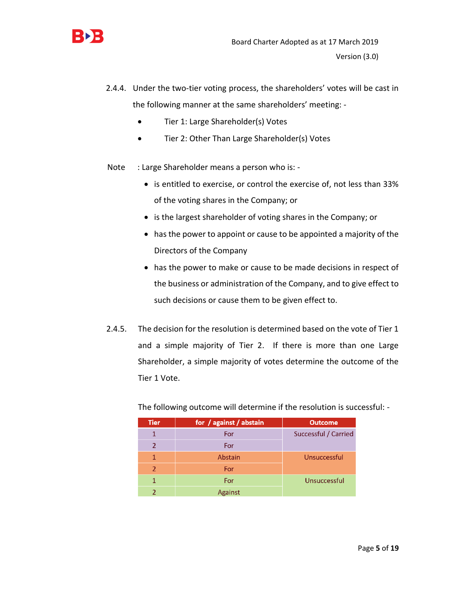

- 2.4.4. Under the two-tier voting process, the shareholders' votes will be cast in the following manner at the same shareholders' meeting: -
	- Tier 1: Large Shareholder(s) Votes
	- Tier 2: Other Than Large Shareholder(s) Votes
- Note : Large Shareholder means a person who is: -
	- is entitled to exercise, or control the exercise of, not less than 33% of the voting shares in the Company; or
	- is the largest shareholder of voting shares in the Company; or
	- has the power to appoint or cause to be appointed a majority of the Directors of the Company
	- has the power to make or cause to be made decisions in respect of the business or administration of the Company, and to give effect to such decisions or cause them to be given effect to.
- 2.4.5. The decision for the resolution is determined based on the vote of Tier 1 and a simple majority of Tier 2. If there is more than one Large Shareholder, a simple majority of votes determine the outcome of the Tier 1 Vote.

| <b>Tier</b>   | for / against / abstain | <b>Outcome</b>       |
|---------------|-------------------------|----------------------|
|               | For                     | Successful / Carried |
| 2             | For                     |                      |
|               | Abstain                 | Unsuccessful         |
| $\mathcal{P}$ | For                     |                      |
|               | For                     | Unsuccessful         |
|               | Against                 |                      |

The following outcome will determine if the resolution is successful: -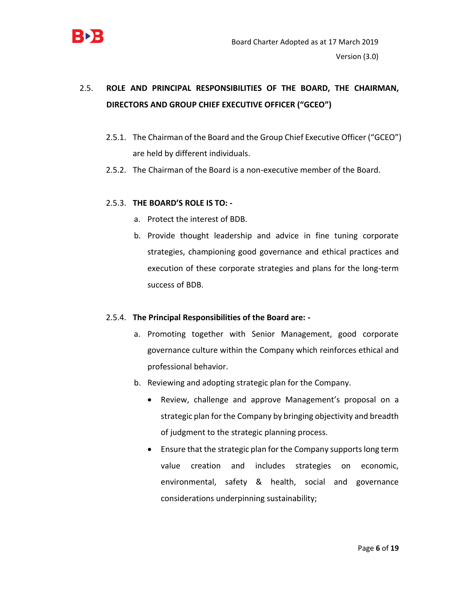

# 2.5. **ROLE AND PRINCIPAL RESPONSIBILITIES OF THE BOARD, THE CHAIRMAN, DIRECTORS AND GROUP CHIEF EXECUTIVE OFFICER ("GCEO")**

- 2.5.1. The Chairman of the Board and the Group Chief Executive Officer ("GCEO") are held by different individuals.
- 2.5.2. The Chairman of the Board is a non-executive member of the Board.

# 2.5.3. **THE BOARD'S ROLE IS TO: -**

- a. Protect the interest of BDB.
- b. Provide thought leadership and advice in fine tuning corporate strategies, championing good governance and ethical practices and execution of these corporate strategies and plans for the long-term success of BDB.

# 2.5.4. **The Principal Responsibilities of the Board are: -**

- a. Promoting together with Senior Management, good corporate governance culture within the Company which reinforces ethical and professional behavior.
- b. Reviewing and adopting strategic plan for the Company.
	- Review, challenge and approve Management's proposal on a strategic plan for the Company by bringing objectivity and breadth of judgment to the strategic planning process.
	- Ensure that the strategic plan for the Company supports long term value creation and includes strategies on economic, environmental, safety & health, social and governance considerations underpinning sustainability;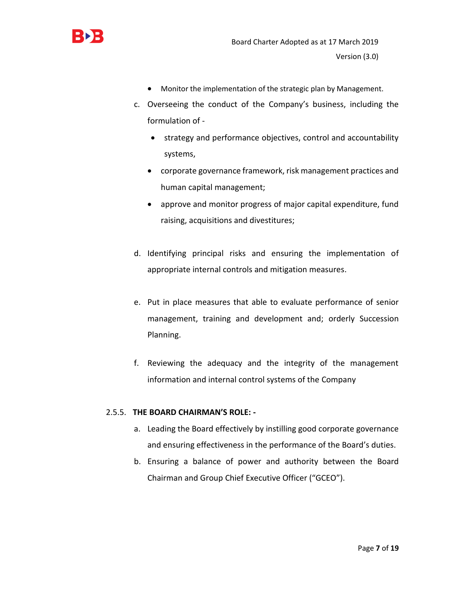

- Monitor the implementation of the strategic plan by Management.
- c. Overseeing the conduct of the Company's business, including the formulation of -
	- strategy and performance objectives, control and accountability systems,
	- corporate governance framework, risk management practices and human capital management;
	- approve and monitor progress of major capital expenditure, fund raising, acquisitions and divestitures;
- d. Identifying principal risks and ensuring the implementation of appropriate internal controls and mitigation measures.
- e. Put in place measures that able to evaluate performance of senior management, training and development and; orderly Succession Planning.
- f. Reviewing the adequacy and the integrity of the management information and internal control systems of the Company

# 2.5.5. **THE BOARD CHAIRMAN'S ROLE: -**

- a. Leading the Board effectively by instilling good corporate governance and ensuring effectiveness in the performance of the Board's duties.
- b. Ensuring a balance of power and authority between the Board Chairman and Group Chief Executive Officer ("GCEO").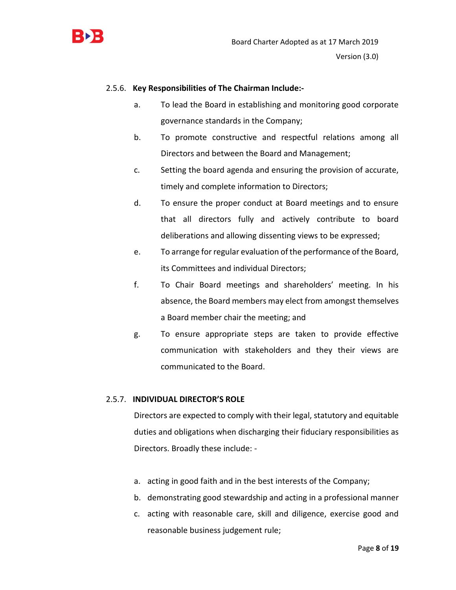

#### 2.5.6. **Key Responsibilities of The Chairman Include:-**

- a. To lead the Board in establishing and monitoring good corporate governance standards in the Company;
- b. To promote constructive and respectful relations among all Directors and between the Board and Management;
- c. Setting the board agenda and ensuring the provision of accurate, timely and complete information to Directors;
- d. To ensure the proper conduct at Board meetings and to ensure that all directors fully and actively contribute to board deliberations and allowing dissenting views to be expressed;
- e. To arrange for regular evaluation of the performance of the Board, its Committees and individual Directors;
- f. To Chair Board meetings and shareholders' meeting. In his absence, the Board members may elect from amongst themselves a Board member chair the meeting; and
- g. To ensure appropriate steps are taken to provide effective communication with stakeholders and they their views are communicated to the Board.

#### 2.5.7. **INDIVIDUAL DIRECTOR'S ROLE**

Directors are expected to comply with their legal, statutory and equitable duties and obligations when discharging their fiduciary responsibilities as Directors. Broadly these include: -

- a. acting in good faith and in the best interests of the Company;
- b. demonstrating good stewardship and acting in a professional manner
- c. acting with reasonable care, skill and diligence, exercise good and reasonable business judgement rule;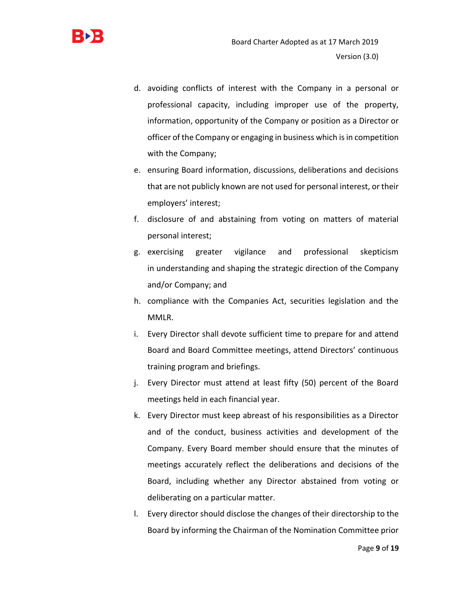

- d. avoiding conflicts of interest with the Company in a personal or professional capacity, including improper use of the property, information, opportunity of the Company or position as a Director or officer of the Company or engaging in business which is in competition with the Company;
- e. ensuring Board information, discussions, deliberations and decisions that are not publicly known are not used for personal interest, or their employers' interest;
- f. disclosure of and abstaining from voting on matters of material personal interest;
- g. exercising greater vigilance and professional skepticism in understanding and shaping the strategic direction of the Company and/or Company; and
- h. compliance with the Companies Act, securities legislation and the MMLR.
- i. Every Director shall devote sufficient time to prepare for and attend Board and Board Committee meetings, attend Directors' continuous training program and briefings.
- j. Every Director must attend at least fifty (50) percent of the Board meetings held in each financial year.
- k. Every Director must keep abreast of his responsibilities as a Director and of the conduct, business activities and development of the Company. Every Board member should ensure that the minutes of meetings accurately reflect the deliberations and decisions of the Board, including whether any Director abstained from voting or deliberating on a particular matter.
- l. Every director should disclose the changes of their directorship to the Board by informing the Chairman of the Nomination Committee prior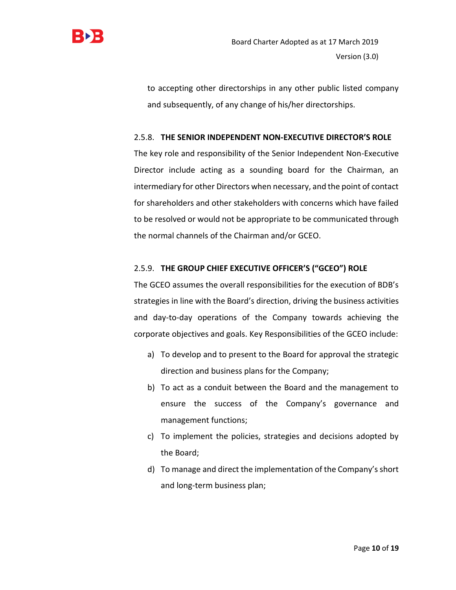

to accepting other directorships in any other public listed company and subsequently, of any change of his/her directorships.

# 2.5.8. **THE SENIOR INDEPENDENT NON-EXECUTIVE DIRECTOR'S ROLE**

The key role and responsibility of the Senior Independent Non-Executive Director include acting as a sounding board for the Chairman, an intermediary for other Directors when necessary, and the point of contact for shareholders and other stakeholders with concerns which have failed to be resolved or would not be appropriate to be communicated through the normal channels of the Chairman and/or GCEO.

# 2.5.9. **THE GROUP CHIEF EXECUTIVE OFFICER'S ("GCEO") ROLE**

The GCEO assumes the overall responsibilities for the execution of BDB's strategies in line with the Board's direction, driving the business activities and day-to-day operations of the Company towards achieving the corporate objectives and goals. Key Responsibilities of the GCEO include:

- a) To develop and to present to the Board for approval the strategic direction and business plans for the Company;
- b) To act as a conduit between the Board and the management to ensure the success of the Company's governance and management functions;
- c) To implement the policies, strategies and decisions adopted by the Board;
- d) To manage and direct the implementation of the Company's short and long-term business plan;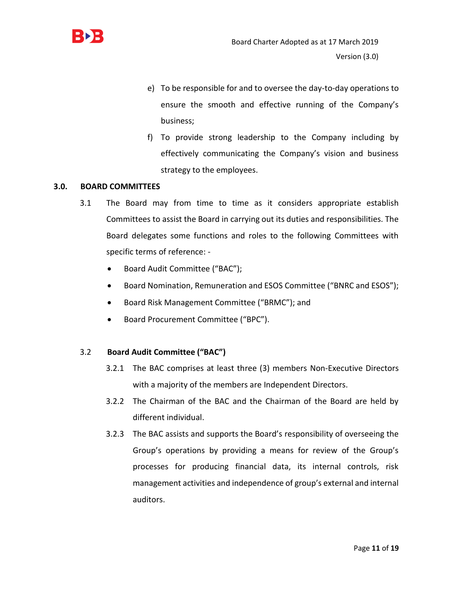

- e) To be responsible for and to oversee the day-to-day operations to ensure the smooth and effective running of the Company's business;
- f) To provide strong leadership to the Company including by effectively communicating the Company's vision and business strategy to the employees.

#### **3.0. BOARD COMMITTEES**

- 3.1 The Board may from time to time as it considers appropriate establish Committees to assist the Board in carrying out its duties and responsibilities. The Board delegates some functions and roles to the following Committees with specific terms of reference: -
	- Board Audit Committee ("BAC");
	- Board Nomination, Remuneration and ESOS Committee ("BNRC and ESOS");
	- Board Risk Management Committee ("BRMC"); and
	- Board Procurement Committee ("BPC").

#### 3.2 **Board Audit Committee ("BAC")**

- 3.2.1 The BAC comprises at least three (3) members Non-Executive Directors with a majority of the members are Independent Directors.
- 3.2.2 The Chairman of the BAC and the Chairman of the Board are held by different individual.
- 3.2.3 The BAC assists and supports the Board's responsibility of overseeing the Group's operations by providing a means for review of the Group's processes for producing financial data, its internal controls, risk management activities and independence of group's external and internal auditors.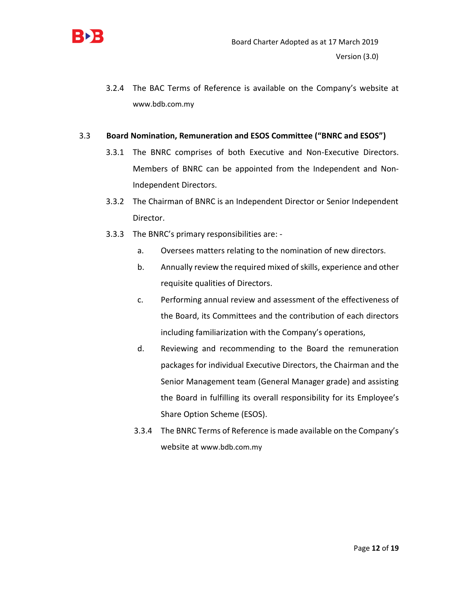

3.2.4 The BAC Terms of Reference is available on the Company's website at [www.bdb.com.my](http://www.bdb.com.my/)

#### 3.3 **Board Nomination, Remuneration and ESOS Committee ("BNRC and ESOS")**

- 3.3.1 The BNRC comprises of both Executive and Non-Executive Directors. Members of BNRC can be appointed from the Independent and Non-Independent Directors.
- 3.3.2 The Chairman of BNRC is an Independent Director or Senior Independent Director.
- 3.3.3 The BNRC's primary responsibilities are:
	- a. Oversees matters relating to the nomination of new directors.
	- b. Annually review the required mixed of skills, experience and other requisite qualities of Directors.
	- c. Performing annual review and assessment of the effectiveness of the Board, its Committees and the contribution of each directors including familiarization with the Company's operations,
	- d. Reviewing and recommending to the Board the remuneration packages for individual Executive Directors, the Chairman and the Senior Management team (General Manager grade) and assisting the Board in fulfilling its overall responsibility for its Employee's Share Option Scheme (ESOS).
	- 3.3.4 The BNRC Terms of Reference is made available on the Company's website at [www.bdb.com.my](http://www.bdb.com.my/)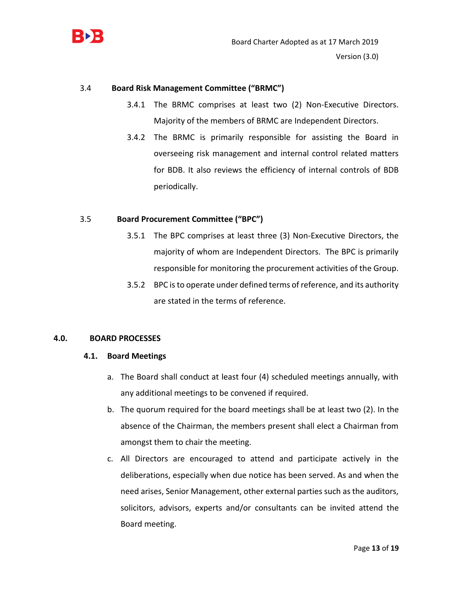

# 3.4 **Board Risk Management Committee ("BRMC")**

- 3.4.1 The BRMC comprises at least two (2) Non-Executive Directors. Majority of the members of BRMC are Independent Directors.
- 3.4.2 The BRMC is primarily responsible for assisting the Board in overseeing risk management and internal control related matters for BDB. It also reviews the efficiency of internal controls of BDB periodically.

#### 3.5 **Board Procurement Committee ("BPC")**

- 3.5.1 The BPC comprises at least three (3) Non-Executive Directors, the majority of whom are Independent Directors. The BPC is primarily responsible for monitoring the procurement activities of the Group.
- 3.5.2 BPC is to operate under defined terms of reference, and its authority are stated in the terms of reference.

#### **4.0. BOARD PROCESSES**

#### **4.1. Board Meetings**

- a. The Board shall conduct at least four (4) scheduled meetings annually, with any additional meetings to be convened if required.
- b. The quorum required for the board meetings shall be at least two (2). In the absence of the Chairman, the members present shall elect a Chairman from amongst them to chair the meeting.
- c. All Directors are encouraged to attend and participate actively in the deliberations, especially when due notice has been served. As and when the need arises, Senior Management, other external parties such as the auditors, solicitors, advisors, experts and/or consultants can be invited attend the Board meeting.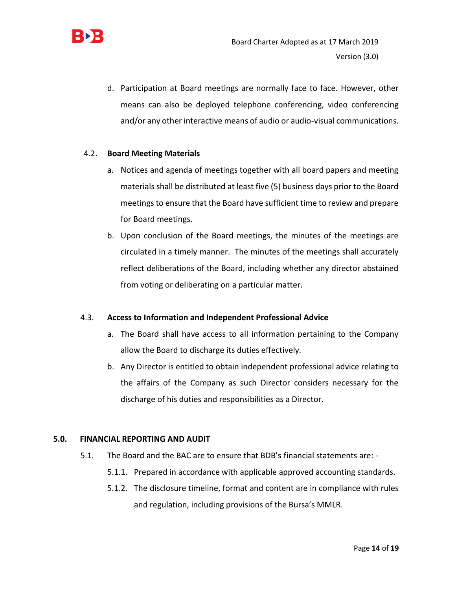

d. Participation at Board meetings are normally face to face. However, other means can also be deployed telephone conferencing, video conferencing and/or any other interactive means of audio or audio-visual communications.

# 4.2. **Board Meeting Materials**

- a. Notices and agenda of meetings together with all board papers and meeting materials shall be distributed at least five (5) business days prior to the Board meetings to ensure that the Board have sufficient time to review and prepare for Board meetings.
- b. Upon conclusion of the Board meetings, the minutes of the meetings are circulated in a timely manner. The minutes of the meetings shall accurately reflect deliberations of the Board, including whether any director abstained from voting or deliberating on a particular matter.

# 4.3. **Access to Information and Independent Professional Advice**

- a. The Board shall have access to all information pertaining to the Company allow the Board to discharge its duties effectively.
- b. Any Director is entitled to obtain independent professional advice relating to the affairs of the Company as such Director considers necessary for the discharge of his duties and responsibilities as a Director.

# **5.0. FINANCIAL REPORTING AND AUDIT**

- 5.1. The Board and the BAC are to ensure that BDB's financial statements are:
	- 5.1.1. Prepared in accordance with applicable approved accounting standards.
	- 5.1.2. The disclosure timeline, format and content are in compliance with rules and regulation, including provisions of the Bursa's MMLR.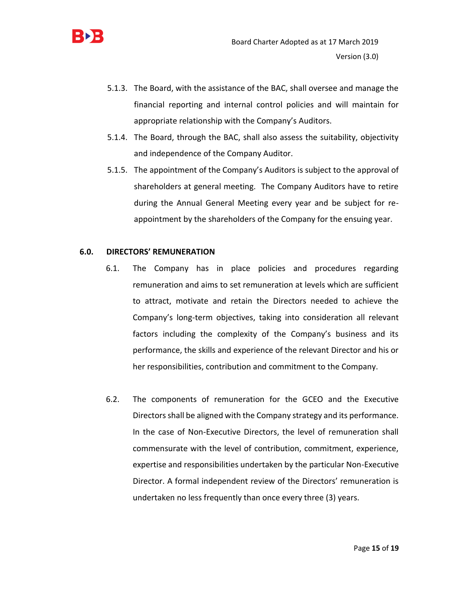

- 5.1.3. The Board, with the assistance of the BAC, shall oversee and manage the financial reporting and internal control policies and will maintain for appropriate relationship with the Company's Auditors.
- 5.1.4. The Board, through the BAC, shall also assess the suitability, objectivity and independence of the Company Auditor.
- 5.1.5. The appointment of the Company's Auditors is subject to the approval of shareholders at general meeting. The Company Auditors have to retire during the Annual General Meeting every year and be subject for reappointment by the shareholders of the Company for the ensuing year.

#### **6.0. DIRECTORS' REMUNERATION**

- 6.1. The Company has in place policies and procedures regarding remuneration and aims to set remuneration at levels which are sufficient to attract, motivate and retain the Directors needed to achieve the Company's long-term objectives, taking into consideration all relevant factors including the complexity of the Company's business and its performance, the skills and experience of the relevant Director and his or her responsibilities, contribution and commitment to the Company.
- 6.2. The components of remuneration for the GCEO and the Executive Directors shall be aligned with the Company strategy and its performance. In the case of Non-Executive Directors, the level of remuneration shall commensurate with the level of contribution, commitment, experience, expertise and responsibilities undertaken by the particular Non-Executive Director. A formal independent review of the Directors' remuneration is undertaken no less frequently than once every three (3) years.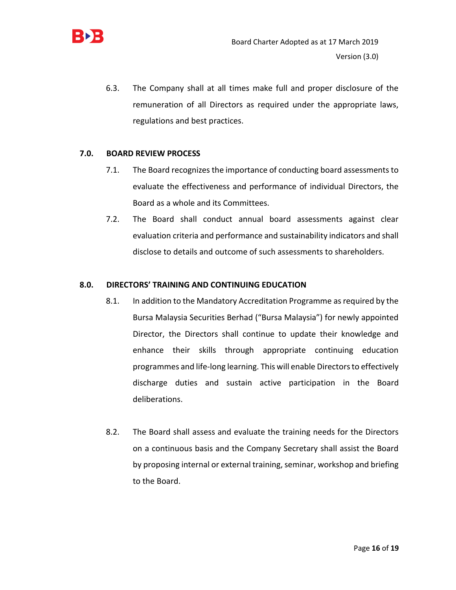

6.3. The Company shall at all times make full and proper disclosure of the remuneration of all Directors as required under the appropriate laws, regulations and best practices.

# **7.0. BOARD REVIEW PROCESS**

- 7.1. The Board recognizes the importance of conducting board assessments to evaluate the effectiveness and performance of individual Directors, the Board as a whole and its Committees.
- 7.2. The Board shall conduct annual board assessments against clear evaluation criteria and performance and sustainability indicators and shall disclose to details and outcome of such assessments to shareholders.

#### **8.0. DIRECTORS' TRAINING AND CONTINUING EDUCATION**

- 8.1. In addition to the Mandatory Accreditation Programme as required by the Bursa Malaysia Securities Berhad ("Bursa Malaysia") for newly appointed Director, the Directors shall continue to update their knowledge and enhance their skills through appropriate continuing education programmes and life-long learning. This will enable Directors to effectively discharge duties and sustain active participation in the Board deliberations.
- 8.2. The Board shall assess and evaluate the training needs for the Directors on a continuous basis and the Company Secretary shall assist the Board by proposing internal or external training, seminar, workshop and briefing to the Board.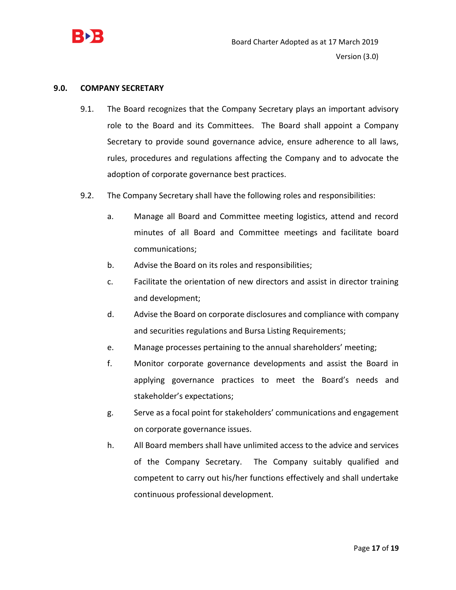

#### **9.0. COMPANY SECRETARY**

- 9.1. The Board recognizes that the Company Secretary plays an important advisory role to the Board and its Committees. The Board shall appoint a Company Secretary to provide sound governance advice, ensure adherence to all laws, rules, procedures and regulations affecting the Company and to advocate the adoption of corporate governance best practices.
- 9.2. The Company Secretary shall have the following roles and responsibilities:
	- a. Manage all Board and Committee meeting logistics, attend and record minutes of all Board and Committee meetings and facilitate board communications;
	- b. Advise the Board on its roles and responsibilities;
	- c. Facilitate the orientation of new directors and assist in director training and development;
	- d. Advise the Board on corporate disclosures and compliance with company and securities regulations and Bursa Listing Requirements;
	- e. Manage processes pertaining to the annual shareholders' meeting;
	- f. Monitor corporate governance developments and assist the Board in applying governance practices to meet the Board's needs and stakeholder's expectations;
	- g. Serve as a focal point for stakeholders' communications and engagement on corporate governance issues.
	- h. All Board members shall have unlimited access to the advice and services of the Company Secretary. The Company suitably qualified and competent to carry out his/her functions effectively and shall undertake continuous professional development.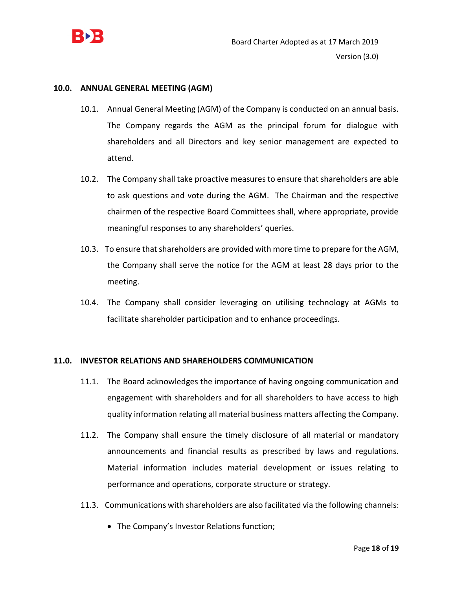

#### **10.0. ANNUAL GENERAL MEETING (AGM)**

- 10.1. Annual General Meeting (AGM) of the Company is conducted on an annual basis. The Company regards the AGM as the principal forum for dialogue with shareholders and all Directors and key senior management are expected to attend.
- 10.2. The Company shall take proactive measures to ensure that shareholders are able to ask questions and vote during the AGM. The Chairman and the respective chairmen of the respective Board Committees shall, where appropriate, provide meaningful responses to any shareholders' queries.
- 10.3. To ensure that shareholders are provided with more time to prepare for the AGM, the Company shall serve the notice for the AGM at least 28 days prior to the meeting.
- 10.4. The Company shall consider leveraging on utilising technology at AGMs to facilitate shareholder participation and to enhance proceedings.

#### **11.0. INVESTOR RELATIONS AND SHAREHOLDERS COMMUNICATION**

- 11.1. The Board acknowledges the importance of having ongoing communication and engagement with shareholders and for all shareholders to have access to high quality information relating all material business matters affecting the Company.
- 11.2. The Company shall ensure the timely disclosure of all material or mandatory announcements and financial results as prescribed by laws and regulations. Material information includes material development or issues relating to performance and operations, corporate structure or strategy.
- 11.3. Communications with shareholders are also facilitated via the following channels:
	- The Company's Investor Relations function;